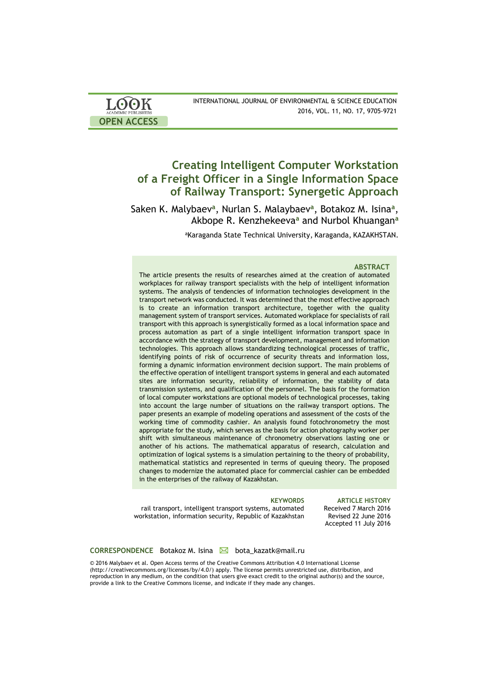| <b>LOOK</b>         | INTERNATIONAL JOURNAL OF ENVIRONMENTAL & SCIENCE EDUCATION |
|---------------------|------------------------------------------------------------|
| ACADEMIC PUBLISHERS | 2016, VOL. 11, NO. 17, 9705-9721                           |
| <b>OPEN ACCESS</b>  |                                                            |

# **Creating Intelligent Computer Workstation of a Freight Officer in a Single Information Space of Railway Transport: Synergetic Approach**

Saken K. Malybaev<sup>a</sup>, Nurlan S. Malaybaev<sup>a</sup>, Botakoz M. Isina<sup>a</sup>, Akbope R. Kenzhekeeva**<sup>a</sup>** and Nurbol Khuangan**<sup>a</sup>**

aKaraganda State Technical University, Karaganda, KAZAKHSTAN.

### **ABSTRACT**

The article presents the results of researches aimed at the creation of automated workplaces for railway transport specialists with the help of intelligent information systems. The analysis of tendencies of information technologies development in the transport network was conducted. It was determined that the most effective approach is to create an information transport architecture, together with the quality management system of transport services. Automated workplace for specialists of rail transport with this approach is synergistically formed as a local information space and process automation as part of a single intelligent information transport space in accordance with the strategy of transport development, management and information technologies. This approach allows standardizing technological processes of traffic, identifying points of risk of occurrence of security threats and information loss, forming a dynamic information environment decision support. The main problems of the effective operation of intelligent transport systems in general and each automated sites are information security, reliability of information, the stability of data transmission systems, and qualification of the personnel. The basis for the formation of local computer workstations are optional models of technological processes, taking into account the large number of situations on the railway transport options. The paper presents an example of modeling operations and assessment of the costs of the working time of commodity cashier. An analysis found fotochronometry the most appropriate for the study, which serves as the basis for action photography worker per shift with simultaneous maintenance of chronometry observations lasting one or another of his actions. The mathematical apparatus of research, calculation and optimization of logical systems is a simulation pertaining to the theory of probability, mathematical statistics and represented in terms of queuing theory. The proposed changes to modernize the automated place for commercial cashier can be embedded in the enterprises of the railway of Kazakhstan.

rail transport, intelligent transport systems, automated workstation, information security, Republic of Kazakhstan

**KEYWORDS ARTICLE HISTORY** Received 7 March 2016 Revised 22 June 2016 Accepted 11 July 2016

### **CORRESPONDENCE** Botakoz M. Isina **M** bota kazatk@mail.ru

© 2016 Malybaev et al. Open Access terms of the Creative Commons Attribution 4.0 International License (http://creativecommons.org/licenses/by/4.0/) apply. The license permits unrestricted use, distribution, and reproduction in any medium, on the condition that users give exact credit to the original author(s) and the source, provide a link to the Creative Commons license, and indicate if they made any changes.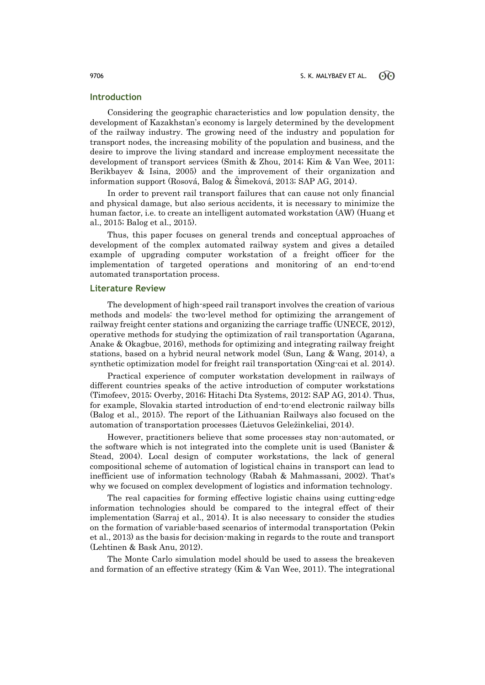### **Introduction**

Considering the geographic characteristics and low population density, the development of Kazakhstan's economy is largely determined by the development of the railway industry. The growing need of the industry and population for transport nodes, the increasing mobility of the population and business, and the desire to improve the living standard and increase employment necessitate the development of transport services (Smith & Zhou, 2014; Kim & Van Wee, 2011; Berikbayev & Isina, 2005) and the improvement of their organization and information support (Rosová, Balog & Šimeková, 2013; SAP AG, 2014).

In order to prevent rail transport failures that can cause not only financial and physical damage, but also serious accidents, it is necessary to minimize the human factor, i.e. to create an intelligent automated workstation (AW) (Huang et al., 2015; Balog et al., 2015).

Thus, this paper focuses on general trends and conceptual approaches of development of the complex automated railway system and gives a detailed example of upgrading computer workstation of a freight officer for the implementation of targeted operations and monitoring of an end-to-end automated transportation process.

### **Literature Review**

The development of high-speed rail transport involves the creation of various methods and models: the two-level method for optimizing the arrangement of railway freight center stations and organizing the carriage traffic (UNECE, 2012), operative methods for studying the optimization of rail transportation (Agarana, Anake & Okagbue, 2016), methods for optimizing and integrating railway freight stations, based on a hybrid neural network model (Sun, Lang & Wang, 2014), a synthetic optimization model for freight rail transportation (Xing-cai et al. 2014).

Practical experience of computer workstation development in railways of different countries speaks of the active introduction of computer workstations (Timofeev, 2015; Overby, 2016; Hitachi Dta Systems, 2012; SAP AG, 2014). Thus, for example, Slovakia started introduction of end-to-end electronic railway bills (Balog et al., 2015). The report of the Lithuanian Railways also focused on the automation of transportation processes (Lietuvos Geležinkeliai, 2014).

However, practitioners believe that some processes stay non-automated, or the software which is not integrated into the complete unit is used (Banister & Stead, 2004). Local design of computer workstations, the lack of general compositional scheme of automation of logistical chains in transport can lead to inefficient use of information technology (Rabah & Mahmassani, 2002). That's why we focused on complex development of logistics and information technology.

The real capacities for forming effective logistic chains using cutting-edge information technologies should be compared to the integral effect of their implementation (Sarraj et al., 2014). It is also necessary to consider the studies on the formation of variable-based scenarios of intermodal transportation (Pekin et al., 2013) as the basis for decision-making in regards to the route and transport (Lehtinen & Bask Anu, 2012).

The Monte Carlo simulation model should be used to assess the breakeven and formation of an effective strategy (Kim & Van Wee, 2011). The integrational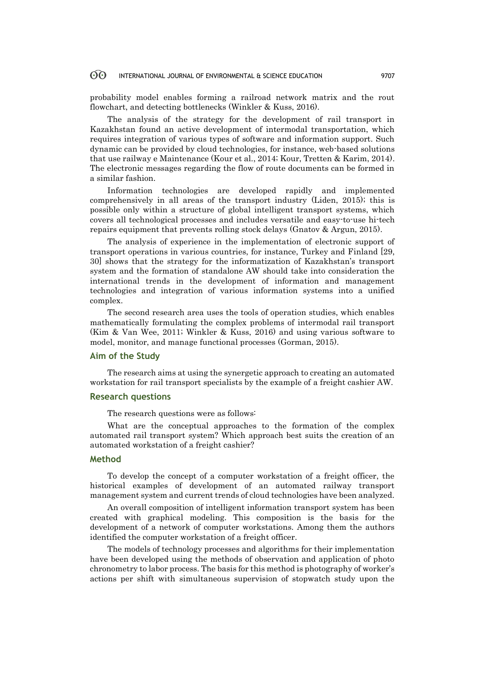probability model enables forming a railroad network matrix and the rout flowchart, and detecting bottlenecks (Winkler & Kuss, 2016).

The analysis of the strategy for the development of rail transport in Kazakhstan found an active development of intermodal transportation, which requires integration of various types of software and information support. Such dynamic can be provided by cloud technologies, for instance, web-based solutions that use railway e Maintenance (Kour et al., 2014; Kour, Tretten & Karim, 2014). The electronic messages regarding the flow of route documents can be formed in a similar fashion.

Information technologies are developed rapidly and implemented comprehensively in all areas of the transport industry (Liden, 2015); this is possible only within a structure of global intelligent transport systems, which covers all technological processes and includes versatile and easy-to-use hi-tech repairs equipment that prevents rolling stock delays (Gnatov & Argun, 2015).

The analysis of experience in the implementation of electronic support of transport operations in various countries, for instance, Turkey and Finland [29, 30] shows that the strategy for the informatization of Kazakhstan's transport system and the formation of standalone AW should take into consideration the international trends in the development of information and management technologies and integration of various information systems into a unified complex.

The second research area uses the tools of operation studies, which enables mathematically formulating the complex problems of intermodal rail transport (Kim & Van Wee, 2011; Winkler & Kuss, 2016) and using various software to model, monitor, and manage functional processes (Gorman, 2015).

### **Aim of the Study**

The research aims at using the synergetic approach to creating an automated workstation for rail transport specialists by the example of a freight cashier AW.

### **Research questions**

The research questions were as follows:

What are the conceptual approaches to the formation of the complex automated rail transport system? Which approach best suits the creation of an automated workstation of a freight cashier?

### **Method**

To develop the concept of a computer workstation of a freight officer, the historical examples of development of an automated railway transport management system and current trends of cloud technologies have been analyzed.

An overall composition of intelligent information transport system has been created with graphical modeling. This composition is the basis for the development of a network of computer workstations. Among them the authors identified the computer workstation of a freight officer.

The models of technology processes and algorithms for their implementation have been developed using the methods of observation and application of photo chronometry to labor process. The basis for this method is photography of worker's actions per shift with simultaneous supervision of stopwatch study upon the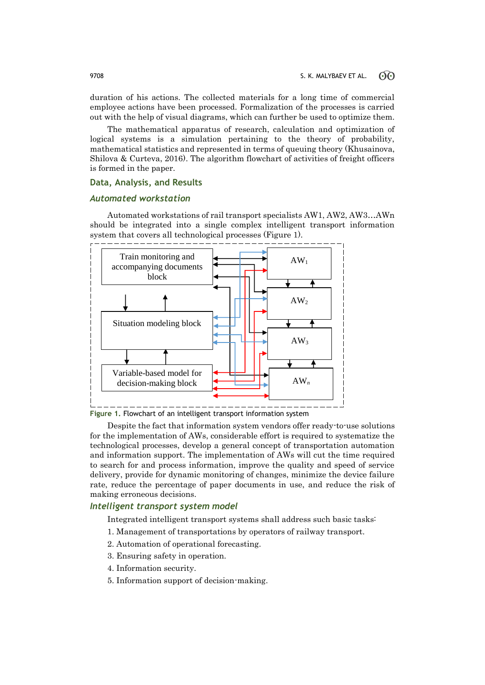duration of his actions. The collected materials for a long time of commercial employee actions have been processed. Formalization of the processes is carried out with the help of visual diagrams, which can further be used to optimize them.

The mathematical apparatus of research, calculation and optimization of logical systems is a simulation pertaining to the theory of probability, mathematical statistics and represented in terms of queuing theory (Khusainova, Shilova & Curteva, 2016). The algorithm flowchart of activities of freight officers is formed in the paper.

## **Data, Analysis, and Results**

### *Automated workstation*

Automated workstations of rail transport specialists AW1, AW2, AW3…AWn should be integrated into a single complex intelligent transport information system that covers all technological processes (Figure 1).



**Figure 1.** Flowchart of an intelligent transport information system

Despite the fact that information system vendors offer ready-to-use solutions for the implementation of AWs, considerable effort is required to systematize the technological processes, develop a general concept of transportation automation and information support. The implementation of AWs will cut the time required to search for and process information, improve the quality and speed of service delivery, provide for dynamic monitoring of changes, minimize the device failure rate, reduce the percentage of paper documents in use, and reduce the risk of making erroneous decisions.

### *Intelligent transport system model*

Integrated intelligent transport systems shall address such basic tasks:

- 1. Management of transportations by operators of railway transport.
- 2. Automation of operational forecasting.
- 3. Ensuring safety in operation.
- 4. Information security.
- 5. Information support of decision-making.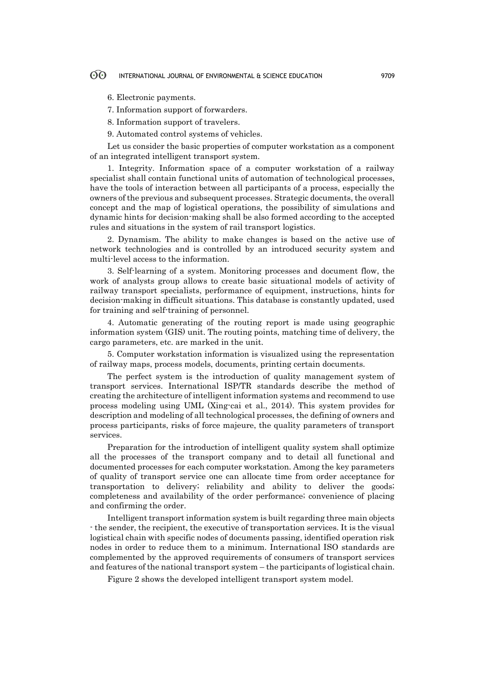6. Electronic payments.

7. Information support of forwarders.

8. Information support of travelers.

9. Automated control systems of vehicles.

Let us consider the basic properties of computer workstation as a component of an integrated intelligent transport system.

1. Integrity. Information space of a computer workstation of a railway specialist shall contain functional units of automation of technological processes, have the tools of interaction between all participants of a process, especially the owners of the previous and subsequent processes. Strategic documents, the overall concept and the map of logistical operations, the possibility of simulations and dynamic hints for decision-making shall be also formed according to the accepted rules and situations in the system of rail transport logistics.

2. Dynamism. The ability to make changes is based on the active use of network technologies and is controlled by an introduced security system and multi-level access to the information.

3. Self-learning of a system. Monitoring processes and document flow, the work of analysts group allows to create basic situational models of activity of railway transport specialists, performance of equipment, instructions, hints for decision-making in difficult situations. This database is constantly updated, used for training and self-training of personnel.

4. Automatic generating of the routing report is made using geographic information system (GIS) unit. The routing points, matching time of delivery, the cargo parameters, etc. are marked in the unit.

5. Computer workstation information is visualized using the representation of railway maps, process models, documents, printing certain documents.

The perfect system is the introduction of quality management system of transport services. International ISP/TR standards describe the method of creating the architecture of intelligent information systems and recommend to use process modeling using UML (Xing-cai et al., 2014). This system provides for description and modeling of all technological processes, the defining of owners and process participants, risks of force majeure, the quality parameters of transport services.

Preparation for the introduction of intelligent quality system shall optimize all the processes of the transport company and to detail all functional and documented processes for each computer workstation. Among the key parameters of quality of transport service one can allocate time from order acceptance for transportation to delivery; reliability and ability to deliver the goods; completeness and availability of the order performance; convenience of placing and confirming the order.

Intelligent transport information system is built regarding three main objects - the sender, the recipient, the executive of transportation services. It is the visual logistical chain with specific nodes of documents passing, identified operation risk nodes in order to reduce them to a minimum. International ISO standards are complemented by the approved requirements of consumers of transport services and features of the national transport system – the participants of logistical chain.

Figure 2 shows the developed intelligent transport system model.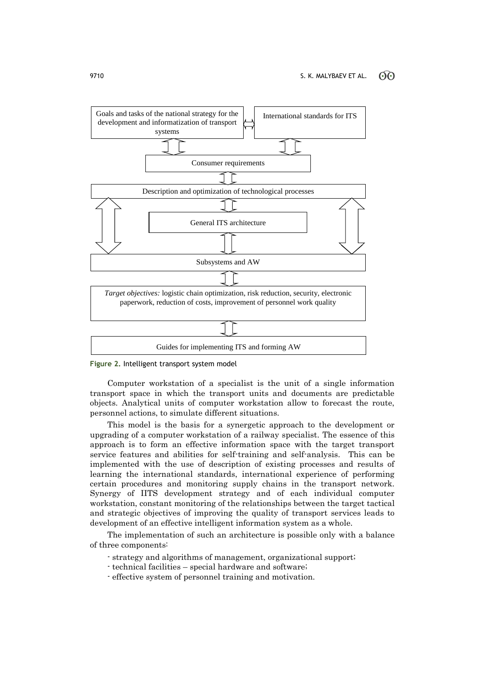



Computer workstation of a specialist is the unit of a single information transport space in which the transport units and documents are predictable objects. Analytical units of computer workstation allow to forecast the route, personnel actions, to simulate different situations.

This model is the basis for a synergetic approach to the development or upgrading of a computer workstation of a railway specialist. The essence of this approach is to form an effective information space with the target transport service features and abilities for self-training and self-analysis. This can be implemented with the use of description of existing processes and results of learning the international standards, international experience of performing certain procedures and monitoring supply chains in the transport network. Synergy of IITS development strategy and of each individual computer workstation, constant monitoring of the relationships between the target tactical and strategic objectives of improving the quality of transport services leads to development of an effective intelligent information system as a whole.

The implementation of such an architecture is possible only with a balance of three components:

- strategy and algorithms of management, organizational support;
- technical facilities special hardware and software;
- effective system of personnel training and motivation.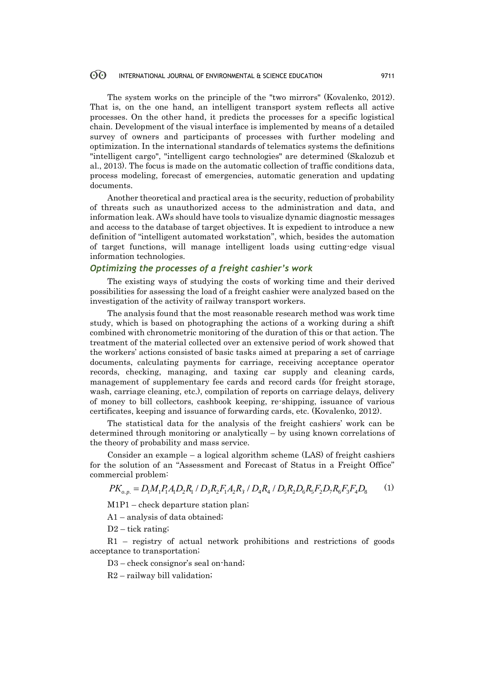The system works on the principle of the "two mirrors" (Kovalenko, 2012). That is, on the one hand, an intelligent transport system reflects all active processes. On the other hand, it predicts the processes for a specific logistical chain. Development of the visual interface is implemented by means of a detailed survey of owners and participants of processes with further modeling and optimization. In the international standards of telematics systems the definitions "intelligent cargo", "intelligent cargo technologies" are determined (Skalozub et al., 2013). The focus is made on the automatic collection of traffic conditions data, process modeling, forecast of emergencies, automatic generation and updating documents.

Another theoretical and practical area is the security, reduction of probability of threats such as unauthorized access to the administration and data, and information leak. AWs should have tools to visualize dynamic diagnostic messages and access to the database of target objectives. It is expedient to introduce a new definition of "intelligent automated workstation", which, besides the automation of target functions, will manage intelligent loads using cutting-edge visual information technologies.

### *Optimizing the processes of a freight cashier's work*

The existing ways of studying the costs of working time and their derived possibilities for assessing the load of a freight cashier were analyzed based on the investigation of the activity of railway transport workers.

The analysis found that the most reasonable research method was work time study, which is based on photographing the actions of a working during a shift combined with chronometric monitoring of the duration of this or that action. The treatment of the material collected over an extensive period of work showed that the workers' actions consisted of basic tasks aimed at preparing a set of carriage documents, calculating payments for carriage, receiving acceptance operator records, checking, managing, and taxing car supply and cleaning cards, management of supplementary fee cards and record cards (for freight storage, wash, carriage cleaning, etc.), compilation of reports on carriage delays, delivery of money to bill collectors, cashbook keeping, re-shipping, issuance of various certificates, keeping and issuance of forwarding cards, etc. (Kovalenko, 2012).

The statistical data for the analysis of the freight cashiers' work can be determined through monitoring or analytically – by using known correlations of the theory of probability and mass service.

Consider an example – a logical algorithm scheme (LAS) of freight cashiers for the solution of an "Assessment and Forecast of Status in a Freight Office" commercial problem: Lonsider an example – a logical algorithm scheme (LAS) of freight cashiers<br>he solution of an "Assessment and Forecast of Status in a Freight Office"<br>percial problem:<br> $PK_{o.p.} = D_1M_1P_1A_1D_2R_1/D_3R_2F_1A_2R_3/D_4R_4/D_5R_2D_$ 

(1)

M1P1 – check departure station plan;

A1 – analysis of data obtained;

D2 – tick rating;

R1 – registry of actual network prohibitions and restrictions of goods acceptance to transportation;

D3 – check consignor's seal on-hand;

R2 – railway bill validation;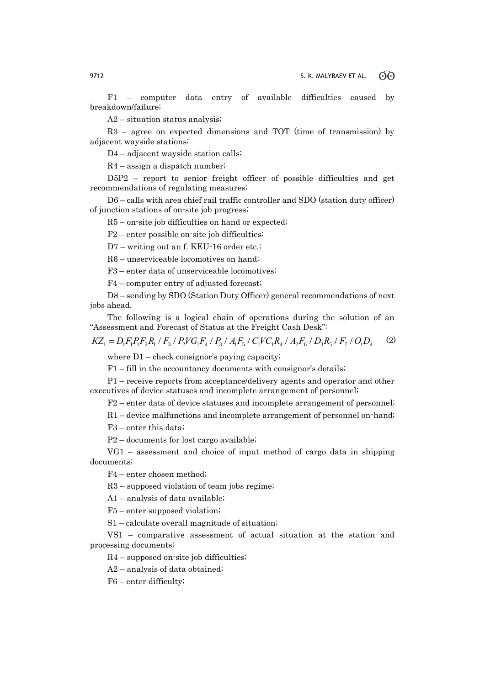F1 – computer data entry of available difficulties caused by breakdown/failure;

A2 – situation status analysis;

R3 – agree on expected dimensions and TOT (time of transmission) by adjacent wayside stations;

D4 – adjacent wayside station calls;

R4 – assign a dispatch number;

D5P2 – report to senior freight officer of possible difficulties and get recommendations of regulating measures;

D6 – calls with area chief rail traffic controller and SDO (station duty officer) of junction stations of on-site job progress;

R5 – on-site job difficulties on hand or expected;

F2 – enter possible on-site job difficulties;

D7 – writing out an f. KEU-16 order etc.;

R6 – unserviceable locomotives on hand;

F3 – enter data of unserviceable locomotives;

F4 – computer entry of adjusted forecast;

D8 – sending by SDO (Station Duty Officer) general recommendations of next jobs ahead.

The following is a logical chain of operations during the solution of an "Assessment and Forecast of Status at the Freight Cash Desk":

 $KZ_1 = D_1 F_1 P_1 F_2 R_1 / F_3 / P_2 V G_1 F_4 / P_3 / A_1 F_5 / C_1 V C_1 R_4 / A_2 F_6 / D_3 R_5 / F_7 / O_1 D_4$ (2)

where  $D1$  – check consignor's paying capacity;

F1 – fill in the accountancy documents with consignor's details;

P1 – receive reports from acceptance/delivery agents and operator and other executives of device statuses and incomplete arrangement of personnel;

F2 – enter data of device statuses and incomplete arrangement of personnel;

R1 – device malfunctions and incomplete arrangement of personnel on-hand;

F3 – enter this data;

P2 – documents for lost cargo available;

VG1 – assessment and choice of input method of cargo data in shipping documents;

F4 – enter chosen method;

R3 – supposed violation of team jobs regime;

A1 – analysis of data available;

F5 – enter supposed violation;

S1 – calculate overall magnitude of situation;

VS1 – comparative assessment of actual situation at the station and processing documents;

 $R4$  – supposed on-site job difficulties;

A2 – analysis of data obtained;

F6 – enter difficulty;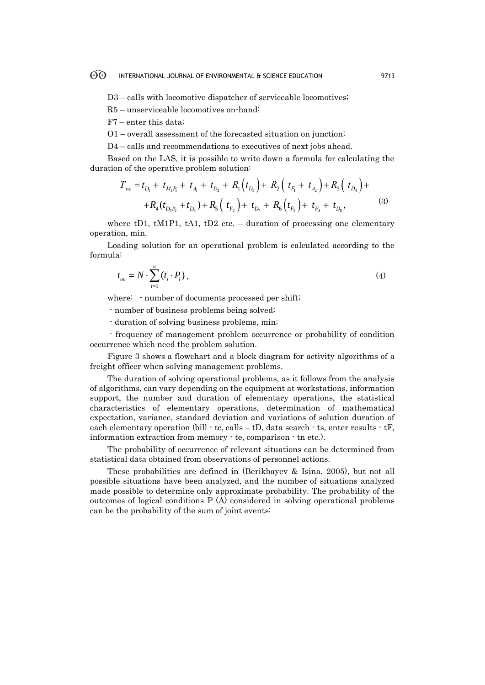D3 – calls with locomotive dispatcher of serviceable locomotives;

R5 – unserviceable locomotives on-hand;

F7 – enter this data;

O1 – overall assessment of the forecasted situation on junction;

D4 – calls and recommendations to executives of next jobs ahead.

Based on the LAS, it is possible to write down a formula for calculating the tion of the operative problem solution:<br>  $T_{oz} = t_{D_1} + t_{M_1 P_1} + t_{A_1} + t_{D_2} + R_1(t_{D_3}) + R_2(t_{F_1} + t_{A_2}) + R_3(t_{D_4}) +$ duration of the operative problem solution:

$$
T_{oz} = t_{D_1} + t_{M_1 P_1} + t_{A_1} + t_{D_2} + R_1(t_{D_3}) + R_2(t_{F_1} + t_{A_2}) + R_3(t_{D_4}) +
$$
  
+
$$
R_4(t_{D_5 P_2} + t_{D_6}) + R_5(t_{F_2}) + t_{D_7} + R_6(t_{F_3}) + t_{F_4} + t_{D_8},
$$
 (3)

where tD1, tM1P1, tA1, tD2 etc. – duration of processing one elementary operation, min.

Loading solution for an operational problem is calculated according to the formula:

$$
t_{on} = N \cdot \sum_{i=1}^{n} \left( t_i \cdot P_i \right),\tag{4}
$$

where: - number of documents processed per shift;

- number of business problems being solved;

- duration of solving business problems, min;

- frequency of management problem occurrence or probability of condition occurrence which need the problem solution.

Figure 3 shows a flowchart and a block diagram for activity algorithms of a freight officer when solving management problems.

The duration of solving operational problems, as it follows from the analysis of algorithms, can vary depending on the equipment at workstations, information support, the number and duration of elementary operations, the statistical characteristics of elementary operations, determination of mathematical expectation, variance, standard deviation and variations of solution duration of each elementary operation (bill  $\cdot$  tc, calls  $-$  tD, data search  $\cdot$  ts, enter results  $\cdot$  tF, information extraction from memory - te, comparison - tn etc.).

The probability of occurrence of relevant situations can be determined from statistical data obtained from observations of personnel actions.

These probabilities are defined in (Berikbayev & Isina, 2005), but not all possible situations have been analyzed, and the number of situations analyzed made possible to determine only approximate probability. The probability of the outcomes of logical conditions P (A) considered in solving operational problems can be the probability of the sum of joint events: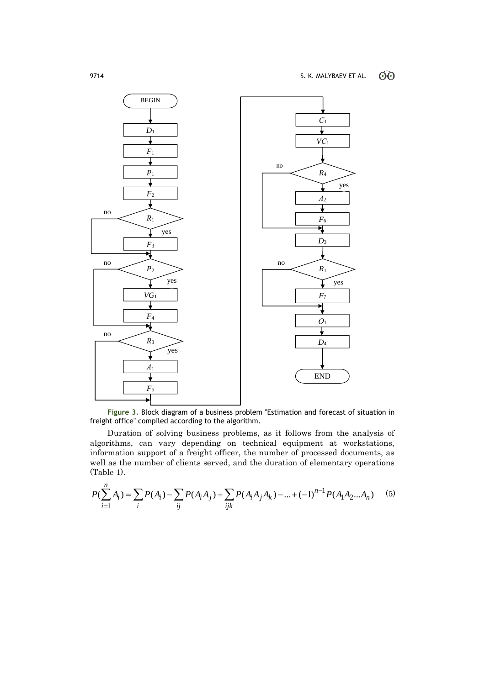

**Figure 3.** Block diagram of a business problem "Estimation and forecast of situation in freight office" compiled according to the algorithm.

Duration of solving business problems, as it follows from the analysis of algorithms, can vary depending on technical equipment at workstations, information support of a freight officer, the number of processed documents, as (Table 1). for orithms, can vary depending on technical equipment at w<br>ormation support of a freight officer, the number of processed do<br>ll as the number of clients served, and the duration of elementary<br>ble 1).<br> $\sum_{i=1}^{n} A_i$ ) =  $\$ 

well as the number of clients served, and the duration of elementary operations  
(Table 1).  

$$
P(\sum_{i=1}^{n} A_i) = \sum_{i} P(A_i) - \sum_{ij} P(A_i A_j) + \sum_{ijk} P(A_i A_j A_k) - ... + (-1)^{n-1} P(A_1 A_2 ... A_n)
$$
(5)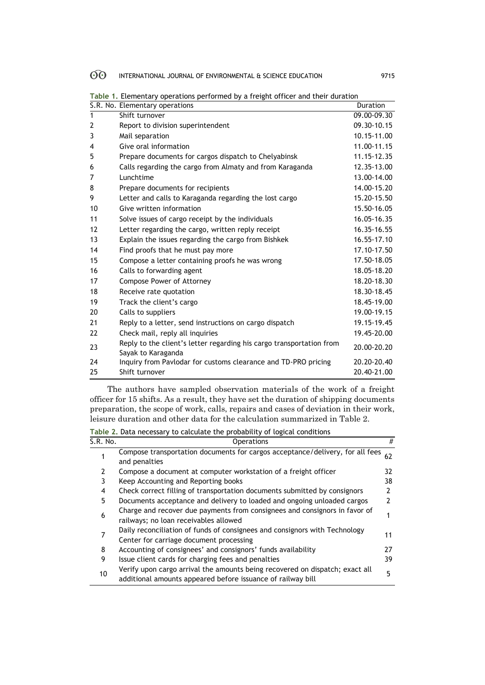|                | S.R. No. Elementary operations                                       | Duration    |
|----------------|----------------------------------------------------------------------|-------------|
| $\mathbf{1}$   | Shift turnover                                                       | 09.00-09.30 |
| $\overline{2}$ | Report to division superintendent                                    | 09.30-10.15 |
| 3              | Mail separation                                                      | 10.15-11.00 |
| 4              | Give oral information                                                | 11.00-11.15 |
| 5              | Prepare documents for cargos dispatch to Chelyabinsk                 | 11.15-12.35 |
| 6              | Calls regarding the cargo from Almaty and from Karaganda             | 12.35-13.00 |
| $\overline{7}$ | Lunchtime                                                            | 13.00-14.00 |
| 8              | Prepare documents for recipients                                     | 14.00-15.20 |
| 9              | Letter and calls to Karaganda regarding the lost cargo               | 15.20-15.50 |
| 10             | Give written information                                             | 15.50-16.05 |
| 11             | Solve issues of cargo receipt by the individuals                     | 16.05-16.35 |
| 12             | Letter regarding the cargo, written reply receipt                    | 16.35-16.55 |
| 13             | Explain the issues regarding the cargo from Bishkek                  | 16.55-17.10 |
| 14             | Find proofs that he must pay more                                    | 17.10-17.50 |
| 15             | Compose a letter containing proofs he was wrong                      | 17.50-18.05 |
| 16             | Calls to forwarding agent                                            | 18.05-18.20 |
| 17             | Compose Power of Attorney                                            | 18.20-18.30 |
| 18             | Receive rate quotation                                               | 18.30-18.45 |
| 19             | Track the client's cargo                                             | 18.45-19.00 |
| 20             | Calls to suppliers                                                   | 19.00-19.15 |
| 21             | Reply to a letter, send instructions on cargo dispatch               | 19.15-19.45 |
| 22             | Check mail, reply all inquiries                                      | 19.45-20.00 |
| 23             | Reply to the client's letter regarding his cargo transportation from | 20.00-20.20 |
|                | Sayak to Karaganda                                                   |             |
| 24             | Inquiry from Pavlodar for customs clearance and TD-PRO pricing       | 20.20-20.40 |
| 25             | Shift turnover                                                       | 20.40-21.00 |

**Table 1.** Elementary operations performed by a freight officer and their duration

The authors have sampled observation materials of the work of a freight officer for 15 shifts. As a result, they have set the duration of shipping documents preparation, the scope of work, calls, repairs and cases of deviation in their work, leisure duration and other data for the calculation summarized in Table 2.

| Table 2. Data necessary to calculate the probability of logical conditions |                                                                                                                                             |     |  |  |
|----------------------------------------------------------------------------|---------------------------------------------------------------------------------------------------------------------------------------------|-----|--|--|
| S.R. No.                                                                   | <b>Operations</b>                                                                                                                           | #   |  |  |
|                                                                            | Compose transportation documents for cargos acceptance/delivery, for all fees<br>and penalties                                              | 62  |  |  |
| 2                                                                          | Compose a document at computer workstation of a freight officer                                                                             | 32. |  |  |
| 3                                                                          | Keep Accounting and Reporting books                                                                                                         | 38  |  |  |
| 4                                                                          | Check correct filling of transportation documents submitted by consignors                                                                   | 2   |  |  |
| 5                                                                          | Documents acceptance and delivery to loaded and ongoing unloaded cargos                                                                     | 2   |  |  |
| 6                                                                          | Charge and recover due payments from consignees and consignors in favor of<br>railways; no loan receivables allowed                         |     |  |  |
| 7                                                                          | Daily reconciliation of funds of consignees and consignors with Technology<br>Center for carriage document processing                       | 11  |  |  |
| 8                                                                          | Accounting of consignees' and consignors' funds availability                                                                                | 27  |  |  |
| 9                                                                          | Issue client cards for charging fees and penalties                                                                                          | 39  |  |  |
| 10                                                                         | Verify upon cargo arrival the amounts being recovered on dispatch; exact all<br>additional amounts appeared before issuance of railway bill | 5   |  |  |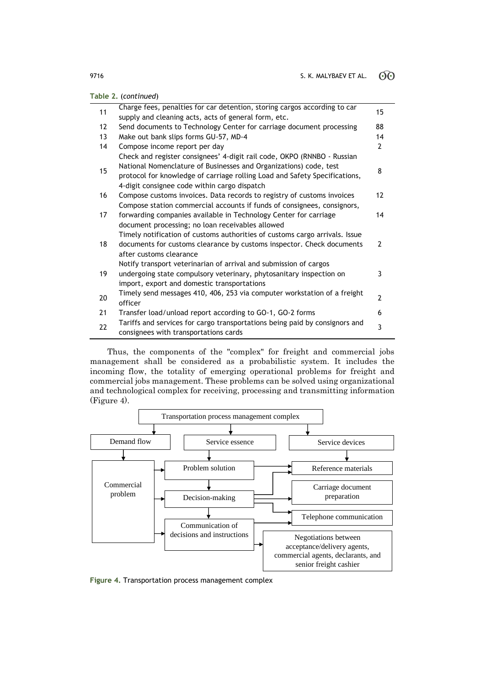| Table 2. (continued) |                                                                                                                                                                                                                                                                            |                |  |
|----------------------|----------------------------------------------------------------------------------------------------------------------------------------------------------------------------------------------------------------------------------------------------------------------------|----------------|--|
| 11                   | Charge fees, penalties for car detention, storing cargos according to car<br>supply and cleaning acts, acts of general form, etc.                                                                                                                                          | 15             |  |
| 12                   | Send documents to Technology Center for carriage document processing                                                                                                                                                                                                       | 88             |  |
| 13                   | Make out bank slips forms GU-57, MD-4                                                                                                                                                                                                                                      | 14             |  |
| 14                   | Compose income report per day                                                                                                                                                                                                                                              | $\overline{2}$ |  |
| 15                   | Check and register consignees' 4-digit rail code, OKPO (RNNBO - Russian<br>National Nomenclature of Businesses and Organizations) code, test<br>protocol for knowledge of carriage rolling Load and Safety Specifications,<br>4-digit consignee code within cargo dispatch | 8              |  |
| 16                   | Compose customs invoices. Data records to registry of customs invoices                                                                                                                                                                                                     | 12             |  |
| 17                   | Compose station commercial accounts if funds of consignees, consignors,<br>forwarding companies available in Technology Center for carriage<br>document processing; no loan receivables allowed                                                                            | 14             |  |
| 18                   | Timely notification of customs authorities of customs cargo arrivals. Issue<br>documents for customs clearance by customs inspector. Check documents<br>after customs clearance                                                                                            | $\overline{2}$ |  |
| 19                   | Notify transport veterinarian of arrival and submission of cargos<br>undergoing state compulsory veterinary, phytosanitary inspection on<br>import, export and domestic transportations                                                                                    | 3              |  |
| 20                   | Timely send messages 410, 406, 253 via computer workstation of a freight<br>officer                                                                                                                                                                                        | $\overline{2}$ |  |
| 21                   | Transfer load/unload report according to GO-1, GO-2 forms                                                                                                                                                                                                                  | 6              |  |
| 22                   | Tariffs and services for cargo transportations being paid by consignors and<br>consignees with transportations cards                                                                                                                                                       | 3              |  |

Thus, the components of the "complex" for freight and commercial jobs management shall be considered as a probabilistic system. It includes the incoming flow, the totality of emerging operational problems for freight and commercial jobs management. These problems can be solved using organizational and technological complex for receiving, processing and transmitting information (Figure 4).



**Figure 4.** Transportation process management complex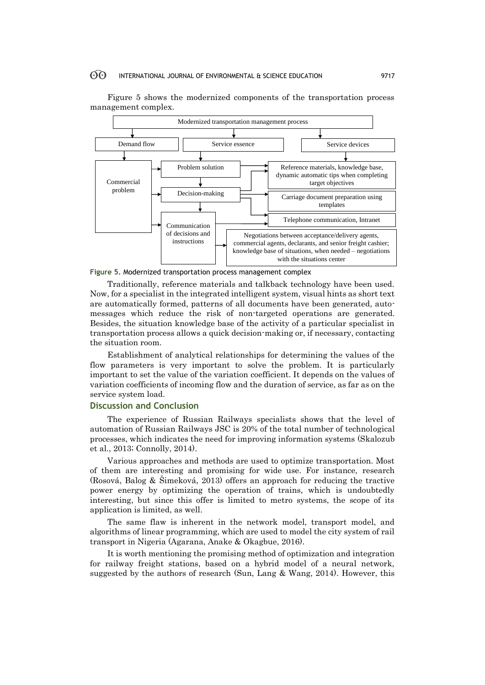

Figure 5 shows the modernized components of the transportation process management complex.



Traditionally, reference materials and talkback technology have been used. Now, for a specialist in the integrated intelligent system, visual hints as short text are automatically formed, patterns of all documents have been generated, automessages which reduce the risk of non-targeted operations are generated. Besides, the situation knowledge base of the activity of a particular specialist in transportation process allows a quick decision-making or, if necessary, contacting the situation room.

Establishment of analytical relationships for determining the values of the flow parameters is very important to solve the problem. It is particularly important to set the value of the variation coefficient. It depends on the values of variation coefficients of incoming flow and the duration of service, as far as on the service system load.

### **Discussion and Conclusion**

The experience of Russian Railways specialists shows that the level of automation of Russian Railways JSC is 20% of the total number of technological processes, which indicates the need for improving information systems (Skalozub et al., 2013; Connolly, 2014).

Various approaches and methods are used to optimize transportation. Most of them are interesting and promising for wide use. For instance, research (Rosová, Balog & Šimeková, 2013) offers an approach for reducing the tractive power energy by optimizing the operation of trains, which is undoubtedly interesting, but since this offer is limited to metro systems, the scope of its application is limited, as well.

The same flaw is inherent in the network model, transport model, and algorithms of linear programming, which are used to model the city system of rail transport in Nigeria (Agarana, Anake & Okagbue, 2016).

It is worth mentioning the promising method of optimization and integration for railway freight stations, based on a hybrid model of a neural network, suggested by the authors of research (Sun, Lang & Wang, 2014). However, this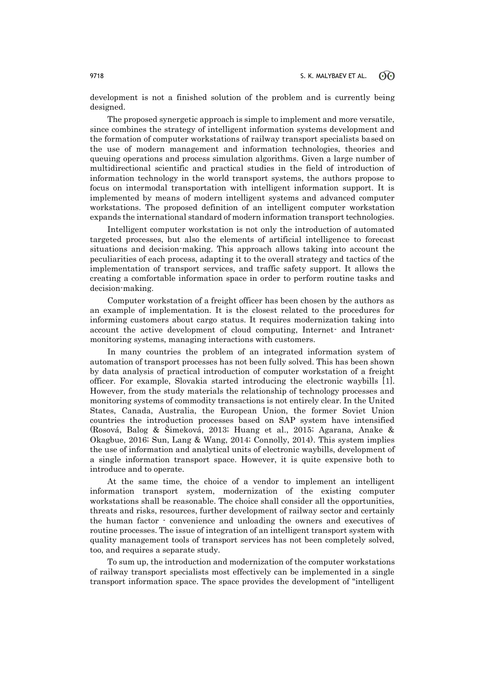development is not a finished solution of the problem and is currently being designed.

The proposed synergetic approach is simple to implement and more versatile, since combines the strategy of intelligent information systems development and the formation of computer workstations of railway transport specialists based on the use of modern management and information technologies, theories and queuing operations and process simulation algorithms. Given a large number of multidirectional scientific and practical studies in the field of introduction of information technology in the world transport systems, the authors propose to focus on intermodal transportation with intelligent information support. It is implemented by means of modern intelligent systems and advanced computer workstations. The proposed definition of an intelligent computer workstation expands the international standard of modern information transport technologies.

Intelligent computer workstation is not only the introduction of automated targeted processes, but also the elements of artificial intelligence to forecast situations and decision-making. This approach allows taking into account the peculiarities of each process, adapting it to the overall strategy and tactics of the implementation of transport services, and traffic safety support. It allows the creating a comfortable information space in order to perform routine tasks and decision-making.

Computer workstation of a freight officer has been chosen by the authors as an example of implementation. It is the closest related to the procedures for informing customers about cargo status. It requires modernization taking into account the active development of cloud computing, Internet- and Intranetmonitoring systems, managing interactions with customers.

In many countries the problem of an integrated information system of automation of transport processes has not been fully solved. This has been shown by data analysis of practical introduction of computer workstation of a freight officer. For example, Slovakia started introducing the electronic waybills [1]. However, from the study materials the relationship of technology processes and monitoring systems of commodity transactions is not entirely clear. In the United States, Canada, Australia, the European Union, the former Soviet Union countries the introduction processes based on SAP system have intensified (Rosová, Balog & Šimeková, 2013; Huang et al., 2015; Agarana, Anake & Okagbue, 2016; Sun, Lang & Wang, 2014; Connolly, 2014). This system implies the use of information and analytical units of electronic waybills, development of a single information transport space. However, it is quite expensive both to introduce and to operate.

At the same time, the choice of a vendor to implement an intelligent information transport system, modernization of the existing computer workstations shall be reasonable. The choice shall consider all the opportunities, threats and risks, resources, further development of railway sector and certainly the human factor - convenience and unloading the owners and executives of routine processes. The issue of integration of an intelligent transport system with quality management tools of transport services has not been completely solved, too, and requires a separate study.

To sum up, the introduction and modernization of the computer workstations of railway transport specialists most effectively can be implemented in a single transport information space. The space provides the development of "intelligent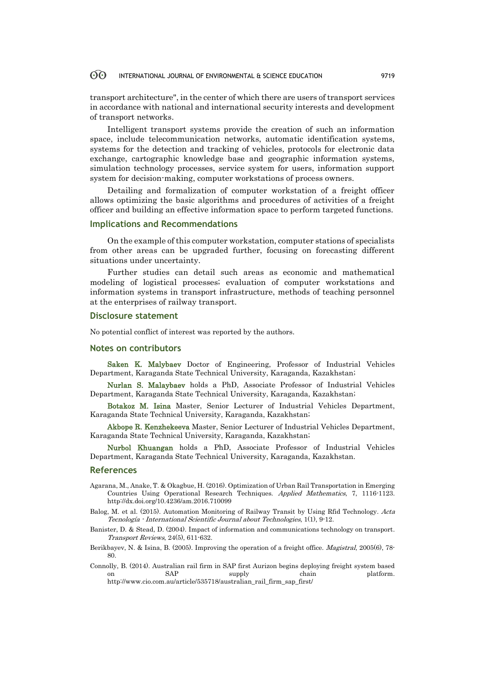transport architecture", in the center of which there are users of transport services in accordance with national and international security interests and development of transport networks.

Intelligent transport systems provide the creation of such an information space, include telecommunication networks, automatic identification systems, systems for the detection and tracking of vehicles, protocols for electronic data exchange, cartographic knowledge base and geographic information systems, simulation technology processes, service system for users, information support system for decision-making, computer workstations of process owners.

Detailing and formalization of computer workstation of a freight officer allows optimizing the basic algorithms and procedures of activities of a freight officer and building an effective information space to perform targeted functions.

### **Implications and Recommendations**

On the example of this computer workstation, computer stations of specialists from other areas can be upgraded further, focusing on forecasting different situations under uncertainty.

Further studies can detail such areas as economic and mathematical modeling of logistical processes; evaluation of computer workstations and information systems in transport infrastructure, methods of teaching personnel at the enterprises of railway transport.

### **Disclosure statement**

No potential conflict of interest was reported by the authors.

### **Notes on contributors**

Saken K. Malybaev Doctor of Engineering, Professor of Industrial Vehicles Department, Karaganda State Technical University, Karaganda, Kazakhstan;

Nurlan S. Malaybaev holds a PhD, Associate Professor of Industrial Vehicles Department, Karaganda State Technical University, Karaganda, Kazakhstan;

Botakoz M. Isina Master, Senior Lecturer of Industrial Vehicles Department, Karaganda State Technical University, Karaganda, Kazakhstan;

Akbope R. Kenzhekeeva Master, Senior Lecturer of Industrial Vehicles Department, Karaganda State Technical University, Karaganda, Kazakhstan;

Nurbol Khuangan holds a PhD, Associate Professor of Industrial Vehicles Department, Karaganda State Technical University, Karaganda, Kazakhstan.

### **References**

- Agarana, M., Anake, T. & Okagbue, H. (2016). Optimization of Urban Rail Transportation in Emerging Countries Using Operational Research Techniques. Applied Mathematics, 7, 1116-1123. http://dx.doi.org/10.4236/am.2016.710099
- Balog, M. et al. (2015). Automation Monitoring of Railway Transit by Using Rfid Technology. Acta Tecnología - International Scientific Journal about Technologies, 1(1), 9-12.
- Banister, D. & Stead, D. (2004). Impact of information and communications technology on transport. Transport Reviews, 24(5), 611-632.
- Berikbayev, N. & Isina, B. (2005). Improving the operation of a freight office. Magistral, 2005(6), 78- 80.
- Connolly, B. (2014). Australian rail firm in SAP first Aurizon begins deploying freight system based on SAP supply chain platform. http://www.cio.com.au/article/535718/australian\_rail\_firm\_sap\_first/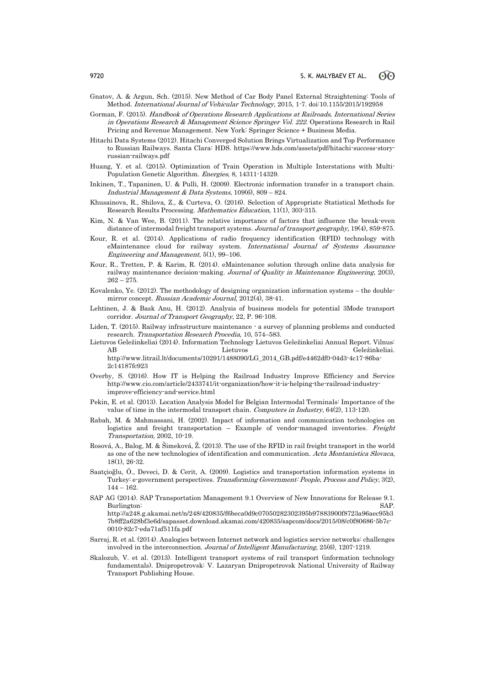- Gnatov, A. & Argun, Sch. (2015). New Method of Car Body Panel External Straightening: Tools of Method. International Journal of Vehicular Technology, 2015, 1-7. doi:10.1155/2015/192958
- Gorman, F. (2015). Handbook of Operations Research Applications at Railroads, International Series in Operations Research & Management Science Springer Vol. 222. Operations Research in Rail Pricing and Revenue Management. New York: Springer Science + Business Media.
- Hitachi Data Systems (2012). Hitachi Converged Solution Brings Virtualization and Top Performance to Russian Railways. Santa Clara: HDS. https://www.hds.com/assets/pdf/hitachi-success-storyrussian-railways.pdf
- Huang, Y. et al. (2015). Optimization of Train Operation in Multiple Interstations with Multi-Population Genetic Algorithm. Energies, 8, 14311-14329.
- Inkinen, T., Tapaninen, U. & Pulli, H. (2009). Electronic information transfer in a transport chain. Industrial Management & Data Systems,  $109(6)$ ,  $809 - 824$ .
- Khusainova, R., Shilova, Z., & Curteva, O. (2016). Selection of Appropriate Statistical Methods for Research Results Processing. Mathematics Education, 11(1), 303-315.
- Kim, N. & Van Wee, B. (2011). The relative importance of factors that influence the break-even distance of intermodal freight transport systems. Journal of transport geography, 19(4), 859-875.
- Kour, R. et al. (2014). Applications of radio frequency identification (RFID) technology with eMaintenance cloud for railway system. International Journal of Systems Assurance Engineering and Management, 5(1), 99–106.
- Kour, R., Tretten, P. & Karim, R. (2014). eMaintenance solution through online data analysis for railway maintenance decision-making. Journal of Quality in Maintenance Engineering, 20(3),  $262 - 275.$
- Kovalenko, Ye. (2012). The methodology of designing organization information systems the doublemirror concept. Russian Academic Journal, 2012(4), 38-41.
- Lehtinen, J. & Bask Anu, H. (2012). Analysis of business models for potential 3Mode transport corridor. Journal of Transport Geography, 22, P. 96-108.
- Liden, T. (2015). Railway infrastructure maintenance a survey of planning problems and conducted research. Transportation Research Procedia, 10, 574–583.
- Lietuvos Geležinkeliai (2014). Information Technology Lietuvos Geležinkeliai Annual Report. Vilnus: AB Lietuvos Geležinkeliai. http://www.litrail.lt/documents/10291/1488090/LG\_2014\_GB.pdf/e4462df0-04d3-4c17-86ba-2c14187fc923
- Overby, S. (2016). How IT is Helping the Railroad Industry Improve Efficiency and Service http://www.cio.com/article/2433741/it-organization/how-it-is-helping-the-railroad-industryimprove-efficiency-and-service.html
- Pekin, E. et al. (2013). Location Analysis Model for Belgian Intermodal Terminals: Importance of the value of time in the intermodal transport chain. Computers in Industry, 64(2), 113-120.
- Rabah, M. & Mahmassani, H. (2002). Impact of information and communication technologies on logistics and freight transportation – Example of vendor-managed inventories. Freight Transportation, 2002, 10-19.
- Rosová, A., Balog, M. & Šimeková, Ž. (2013). The use of the RFID in rail freight transport in the world as one of the new technologies of identification and communication. Acta Montanistica Slovaca, 18(1), 26-32.
- Saatçioğlu, Ö., Deveci, D. & Cerit, A. (2009). Logistics and transportation information systems in Turkey: e-government perspectives. Transforming Government: People, Process and Policy, 3(2), 144 – 162.
- SAP AG (2014). SAP Transportation Management 9.1 Overview of New Innovations for Release 9.1. Burlington: SAP. http://a248.g.akamai.net/n/248/420835/f6beca0d9c07050282302395b97883900f8723a96aec95b3

7b8ff2a628bf3e6d/sapasset.download.akamai.com/420835/sapcom/docs/2015/08/c0f80686-5b7c-0010-82c7-eda71af511fa.pdf

- Sarraj, R. et al. (2014). Analogies between Internet network and logistics service networks: challenges involved in the interconnection. Journal of Intelligent Manufacturing, 25(6), 1207-1219.
- Skalozub, V. et al. (2013). Intelligent transport systems of rail transport (information technology fundamentals). Dnipropetrovsk: V. Lazaryan Dnipropetrovsk National University of Railway Transport Publishing House.